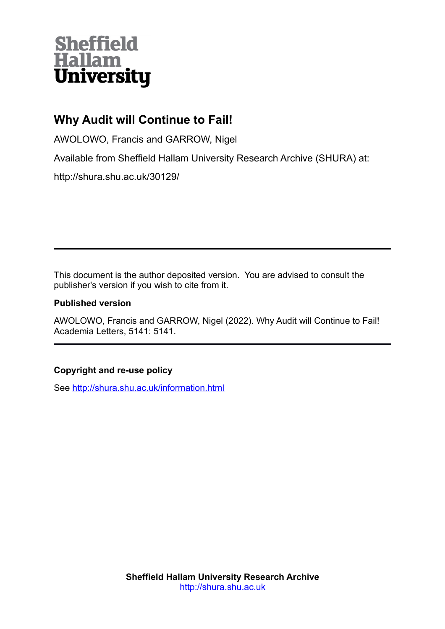# **Sheffield** Hallam<br>University

# **Why Audit will Continue to Fail!**

AWOLOWO, Francis and GARROW, Nigel

Available from Sheffield Hallam University Research Archive (SHURA) at:

http://shura.shu.ac.uk/30129/

This document is the author deposited version. You are advised to consult the publisher's version if you wish to cite from it.

## **Published version**

AWOLOWO, Francis and GARROW, Nigel (2022). Why Audit will Continue to Fail! Academia Letters, 5141: 5141.

## **Copyright and re-use policy**

See<http://shura.shu.ac.uk/information.html>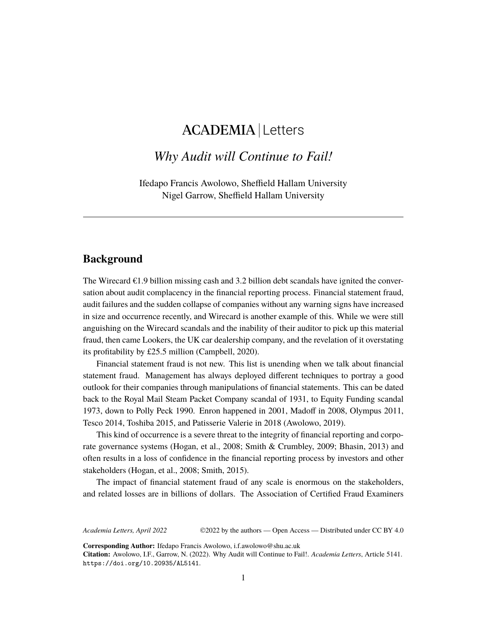# ACADEMIA Letters

# *Why Audit will Continue to Fail!*

Ifedapo Francis Awolowo, Sheffield Hallam University Nigel Garrow, Sheffield Hallam University

### **Background**

The Wirecard  $\epsilon$ 1.9 billion missing cash and 3.2 billion debt scandals have ignited the conversation about audit complacency in the financial reporting process. Financial statement fraud, audit failures and the sudden collapse of companies without any warning signs have increased in size and occurrence recently, and Wirecard is another example of this. While we were still anguishing on the Wirecard scandals and the inability of their auditor to pick up this material fraud, then came Lookers, the UK car dealership company, and the revelation of it overstating its profitability by £25.5 million (Campbell, 2020).

Financial statement fraud is not new. This list is unending when we talk about financial statement fraud. Management has always deployed different techniques to portray a good outlook for their companies through manipulations of financial statements. This can be dated back to the Royal Mail Steam Packet Company scandal of 1931, to Equity Funding scandal 1973, down to Polly Peck 1990. Enron happened in 2001, Madoff in 2008, Olympus 2011, Tesco 2014, Toshiba 2015, and Patisserie Valerie in 2018 (Awolowo, 2019).

This kind of occurrence is a severe threat to the integrity of financial reporting and corporate governance systems (Hogan, et al., 2008; Smith & Crumbley, 2009; Bhasin, 2013) and often results in a loss of confidence in the financial reporting process by investors and other stakeholders (Hogan, et al., 2008; Smith, 2015).

The impact of financial statement fraud of any scale is enormous on the stakeholders, and related losses are in billions of dollars. The Association of Certified Fraud Examiners

*Academia Letters, April 2022* ©2022 by the authors — Open Access — Distributed under CC BY 4.0

**Corresponding Author:** Ifedapo Francis Awolowo, i.f.awolowo@shu.ac.uk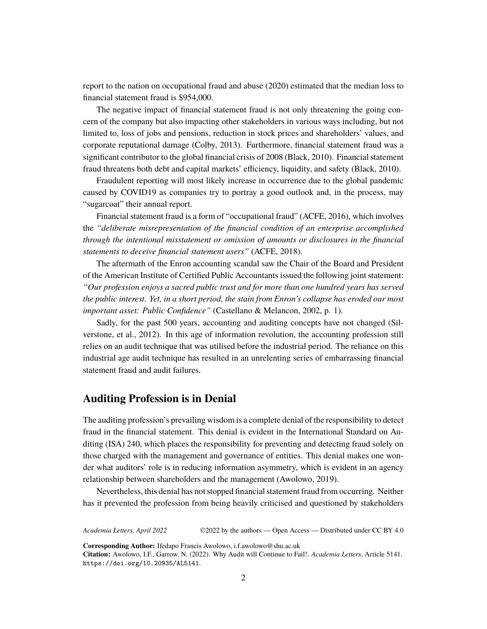report to the nation on occupational fraud and abuse (2020) estimated that the median loss to financial statement fraud is \$954,000.

The negative impact of financial statement fraud is not only threatening the going concern of the company but also impacting other stakeholders in various ways including, but not limited to, loss of jobs and pensions, reduction in stock prices and shareholders' values, and corporate reputational damage (Colby, 2013). Furthermore, financial statement fraud was a significant contributor to the global financial crisis of 2008 (Black, 2010). Financial statement fraud threatens both debt and capital markets' efficiency, liquidity, and safety (Black, 2010).

Fraudulent reporting will most likely increase in occurrence due to the global pandemic caused by COVID19 as companies try to portray a good outlook and, in the process, may "sugarcoat" their annual report.

Financial statement fraud is a form of "occupational fraud" (ACFE, 2016), which involves the *"deliberate misrepresentation of the financial condition of an enterprise accomplished through the intentional misstatement or omission of amounts or disclosures in the financial statements to deceive financial statement users"* (ACFE, 2018).

The aftermath of the Enron accounting scandal saw the Chair of the Board and President of the American Institute of Certified Public Accountants issued the following joint statement: *"Our profession enjoys a sacred public trust and for more than one hundred years has served the public interest. Yet, in a short period, the stain from Enron's collapse has eroded our most important asset: Public Confidence"* (Castellano & Melancon, 2002, p. 1).

Sadly, for the past 500 years, accounting and auditing concepts have not changed (Silverstone, et al., 2012). In this age of information revolution, the accounting profession still relies on an audit technique that was utilised before the industrial period. The reliance on this industrial age audit technique has resulted in an unrelenting series of embarrassing financial statement fraud and audit failures.

#### **Auditing Profession is in Denial**

The auditing profession's prevailing wisdom is a complete denial of the responsibility to detect fraud in the financial statement. This denial is evident in the International Standard on Auditing (ISA) 240, which places the responsibility for preventing and detecting fraud solely on those charged with the management and governance of entities. This denial makes one wonder what auditors' role is in reducing information asymmetry, which is evident in an agency relationship between shareholders and the management (Awolowo, 2019).

Nevertheless, this denial has not stopped financial statement fraud from occurring. Neither has it prevented the profession from being heavily criticised and questioned by stakeholders

*Academia Letters, April 2022* ©2022 by the authors — Open Access — Distributed under CC BY 4.0

**Corresponding Author:** Ifedapo Francis Awolowo, i.f.awolowo@shu.ac.uk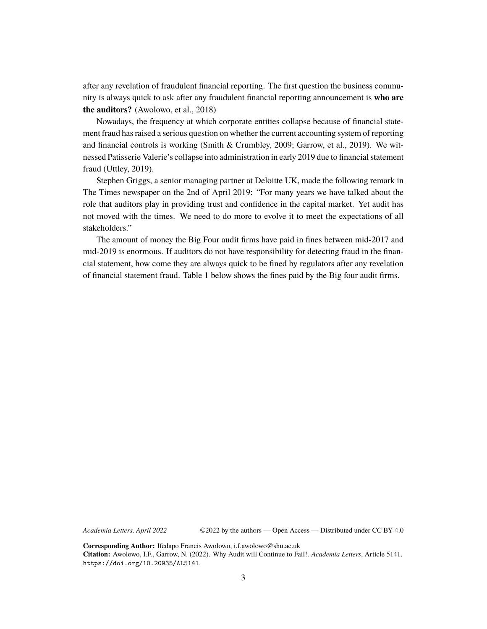after any revelation of fraudulent financial reporting. The first question the business community is always quick to ask after any fraudulent financial reporting announcement is **who are the auditors?** (Awolowo, et al., 2018)

Nowadays, the frequency at which corporate entities collapse because of financial statement fraud has raised a serious question on whether the current accounting system of reporting and financial controls is working (Smith & Crumbley, 2009; Garrow, et al., 2019). We witnessed Patisserie Valerie's collapse into administration in early 2019 due to financial statement fraud (Uttley, 2019).

Stephen Griggs, a senior managing partner at Deloitte UK, made the following remark in The Times newspaper on the 2nd of April 2019: "For many years we have talked about the role that auditors play in providing trust and confidence in the capital market. Yet audit has not moved with the times. We need to do more to evolve it to meet the expectations of all stakeholders."

The amount of money the Big Four audit firms have paid in fines between mid-2017 and mid-2019 is enormous. If auditors do not have responsibility for detecting fraud in the financial statement, how come they are always quick to be fined by regulators after any revelation of financial statement fraud. Table 1 below shows the fines paid by the Big four audit firms.

*Academia Letters, April 2022*

©2022 by the authors — Open Access — Distributed under CC BY 4.0

**Corresponding Author:** Ifedapo Francis Awolowo, i.f.awolowo@shu.ac.uk **Citation:** Awolowo, I.F., Garrow, N. (2022). Why Audit will Continue to Fail!. *Academia Letters*, Article 5141. https://doi.org/10.20935/AL5141.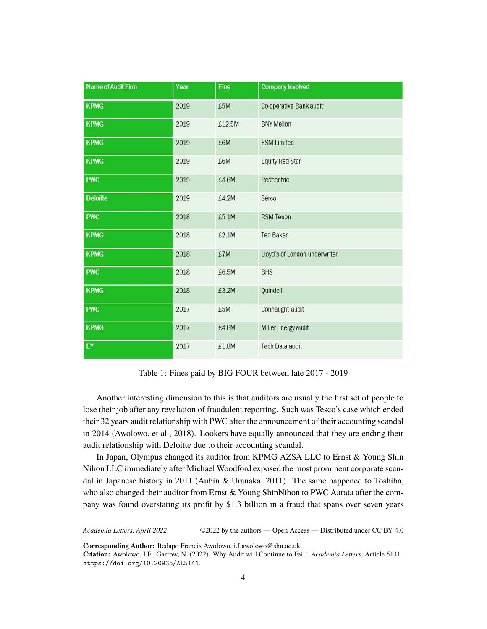| <b>Name of Audit Firm</b> | Year | Fine   | <b>Company Involved</b>       |
|---------------------------|------|--------|-------------------------------|
| <b>KPMG</b>               | 2019 | £5M    | Co-operative Bank audit       |
| <b>KPMG</b>               | 2019 | £12.5M | <b>BNY Mellon</b>             |
| <b>KPMG</b>               | 2019 | £6M    | <b>ESM Limited</b>            |
| <b>KPMG</b>               | 2019 | £6M    | <b>Equity Red Star</b>        |
| <b>PWC</b>                | 2019 | £4.6M  | Redcentric                    |
| <b>Deloitte</b>           | 2019 | £4.2M  | Serco                         |
| <b>PWC</b>                | 2018 | £5.1M  | <b>RSM Tenon</b>              |
| <b>KPMG</b>               | 2018 | £2.1M  | <b>Ted Baker</b>              |
| <b>KPMG</b>               | 2018 | £7M    | Lloyd's of London underwriter |
| <b>PWC</b>                | 2018 | £6.5M  | <b>BHS</b>                    |
| <b>KPMG</b>               | 2018 | £3.2M  | Quindell                      |
| <b>PWC</b>                | 2017 | £5M    | Connaught audit               |
| <b>KPMG</b>               | 2017 | £4.8M  | Miller Energy audit           |
| EY                        | 2017 | £1.8M  | Tech Data audit               |

Table 1: Fines paid by BIG FOUR between late 2017 - 2019

Another interesting dimension to this is that auditors are usually the first set of people to lose their job after any revelation of fraudulent reporting. Such was Tesco's case which ended their 32 years audit relationship with PWC after the announcement of their accounting scandal in 2014 (Awolowo, et al., 2018). Lookers have equally announced that they are ending their audit relationship with Deloitte due to their accounting scandal.

In Japan, Olympus changed its auditor from KPMG AZSA LLC to Ernst & Young Shin Nihon LLC immediately after Michael Woodford exposed the most prominent corporate scandal in Japanese history in 2011 (Aubin & Uranaka, 2011). The same happened to Toshiba, who also changed their auditor from Ernst & Young ShinNihon to PWC Aarata after the company was found overstating its profit by \$1.3 billion in a fraud that spans over seven years

*Academia Letters, April 2022* ©2022 by the authors — Open Access — Distributed under CC BY 4.0

**Corresponding Author:** Ifedapo Francis Awolowo, i.f.awolowo@shu.ac.uk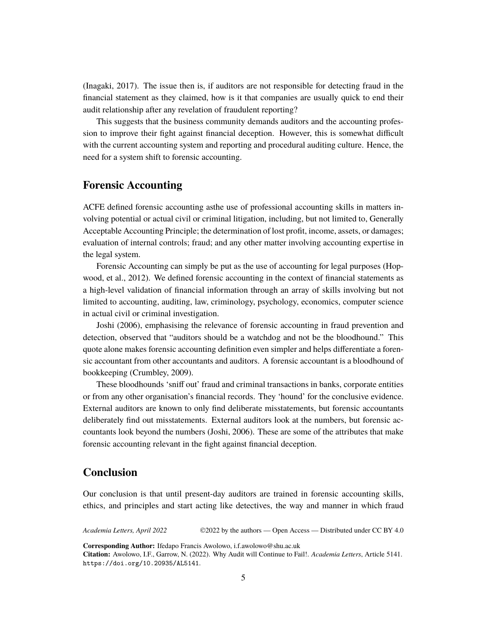(Inagaki, 2017). The issue then is, if auditors are not responsible for detecting fraud in the financial statement as they claimed, how is it that companies are usually quick to end their audit relationship after any revelation of fraudulent reporting?

This suggests that the business community demands auditors and the accounting profession to improve their fight against financial deception. However, this is somewhat difficult with the current accounting system and reporting and procedural auditing culture. Hence, the need for a system shift to forensic accounting.

#### **Forensic Accounting**

ACFE defined forensic accounting asthe use of professional accounting skills in matters involving potential or actual civil or criminal litigation, including, but not limited to, Generally Acceptable Accounting Principle; the determination of lost profit, income, assets, or damages; evaluation of internal controls; fraud; and any other matter involving accounting expertise in the legal system.

Forensic Accounting can simply be put as the use of accounting for legal purposes (Hopwood, et al., 2012). We defined forensic accounting in the context of financial statements as a high-level validation of financial information through an array of skills involving but not limited to accounting, auditing, law, criminology, psychology, economics, computer science in actual civil or criminal investigation.

Joshi (2006), emphasising the relevance of forensic accounting in fraud prevention and detection, observed that "auditors should be a watchdog and not be the bloodhound." This quote alone makes forensic accounting definition even simpler and helps differentiate a forensic accountant from other accountants and auditors. A forensic accountant is a bloodhound of bookkeeping (Crumbley, 2009).

These bloodhounds 'sniff out' fraud and criminal transactions in banks, corporate entities or from any other organisation's financial records. They 'hound' for the conclusive evidence. External auditors are known to only find deliberate misstatements, but forensic accountants deliberately find out misstatements. External auditors look at the numbers, but forensic accountants look beyond the numbers (Joshi, 2006). These are some of the attributes that make forensic accounting relevant in the fight against financial deception.

#### **Conclusion**

Our conclusion is that until present-day auditors are trained in forensic accounting skills, ethics, and principles and start acting like detectives, the way and manner in which fraud

*Academia Letters, April 2022* ©2022 by the authors — Open Access — Distributed under CC BY 4.0

**Corresponding Author:** Ifedapo Francis Awolowo, i.f.awolowo@shu.ac.uk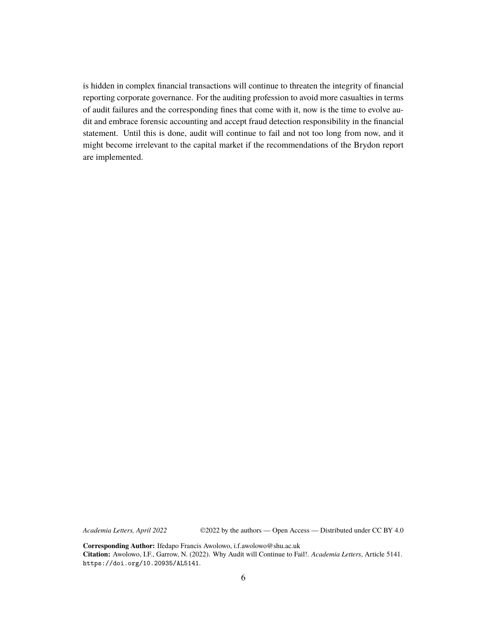is hidden in complex financial transactions will continue to threaten the integrity of financial reporting corporate governance. For the auditing profession to avoid more casualties in terms of audit failures and the corresponding fines that come with it, now is the time to evolve audit and embrace forensic accounting and accept fraud detection responsibility in the financial statement. Until this is done, audit will continue to fail and not too long from now, and it might become irrelevant to the capital market if the recommendations of the Brydon report are implemented.

*Academia Letters, April 2022*

©2022 by the authors — Open Access — Distributed under CC BY 4.0

**Corresponding Author:** Ifedapo Francis Awolowo, i.f.awolowo@shu.ac.uk **Citation:** Awolowo, I.F., Garrow, N. (2022). Why Audit will Continue to Fail!. *Academia Letters*, Article 5141. https://doi.org/10.20935/AL5141.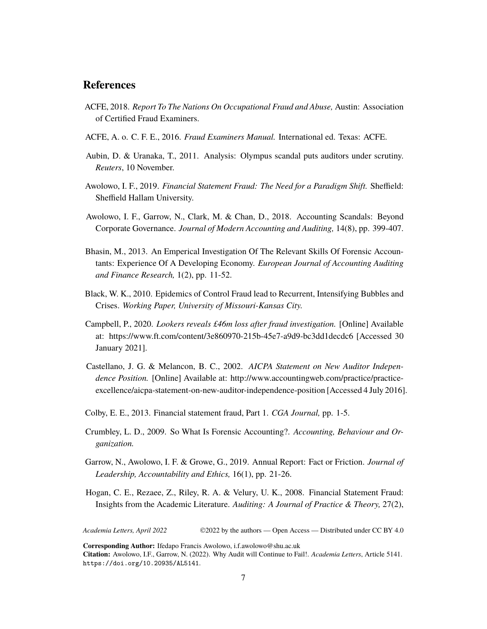#### **References**

- ACFE, 2018. *Report To The Nations On Occupational Fraud and Abuse,* Austin: Association of Certified Fraud Examiners.
- ACFE, A. o. C. F. E., 2016. *Fraud Examiners Manual.* International ed. Texas: ACFE.
- Aubin, D. & Uranaka, T., 2011. Analysis: Olympus scandal puts auditors under scrutiny. *Reuters*, 10 November.
- Awolowo, I. F., 2019. *Financial Statement Fraud: The Need for a Paradigm Shift.* Sheffield: Sheffield Hallam University.
- Awolowo, I. F., Garrow, N., Clark, M. & Chan, D., 2018. Accounting Scandals: Beyond Corporate Governance. *Journal of Modern Accounting and Auditing,* 14(8), pp. 399-407.
- Bhasin, M., 2013. An Emperical Investigation Of The Relevant Skills Of Forensic Accountants: Experience Of A Developing Economy. *European Journal of Accounting Auditing and Finance Research,* 1(2), pp. 11-52.
- Black, W. K., 2010. Epidemics of Control Fraud lead to Recurrent, Intensifying Bubbles and Crises. *Working Paper, University of Missouri-Kansas City.*
- Campbell, P., 2020. *Lookers reveals £46m loss after fraud investigation.* [Online] Available at: https://www.ft.com/content/3e860970-215b-45e7-a9d9-bc3dd1decdc6 [Accessed 30 January 2021].
- Castellano, J. G. & Melancon, B. C., 2002. *AICPA Statement on New Auditor Independence Position.* [Online] Available at: http://www.accountingweb.com/practice/practiceexcellence/aicpa-statement-on-new-auditor-independence-position [Accessed 4 July 2016].
- Colby, E. E., 2013. Financial statement fraud, Part 1. *CGA Journal,* pp. 1-5.
- Crumbley, L. D., 2009. So What Is Forensic Accounting?. *Accounting, Behaviour and Organization.*
- Garrow, N., Awolowo, I. F. & Growe, G., 2019. Annual Report: Fact or Friction. *Journal of Leadership, Accountability and Ethics,* 16(1), pp. 21-26.
- Hogan, C. E., Rezaee, Z., Riley, R. A. & Velury, U. K., 2008. Financial Statement Fraud: Insights from the Academic Literature. *Auditing: A Journal of Practice & Theory,* 27(2),

*Academia Letters, April 2022* ©2022 by the authors — Open Access — Distributed under CC BY 4.0

**Corresponding Author:** Ifedapo Francis Awolowo, i.f.awolowo@shu.ac.uk

**Citation:** Awolowo, I.F., Garrow, N. (2022). Why Audit will Continue to Fail!. *Academia Letters*, Article 5141. https://doi.org/10.20935/AL5141.